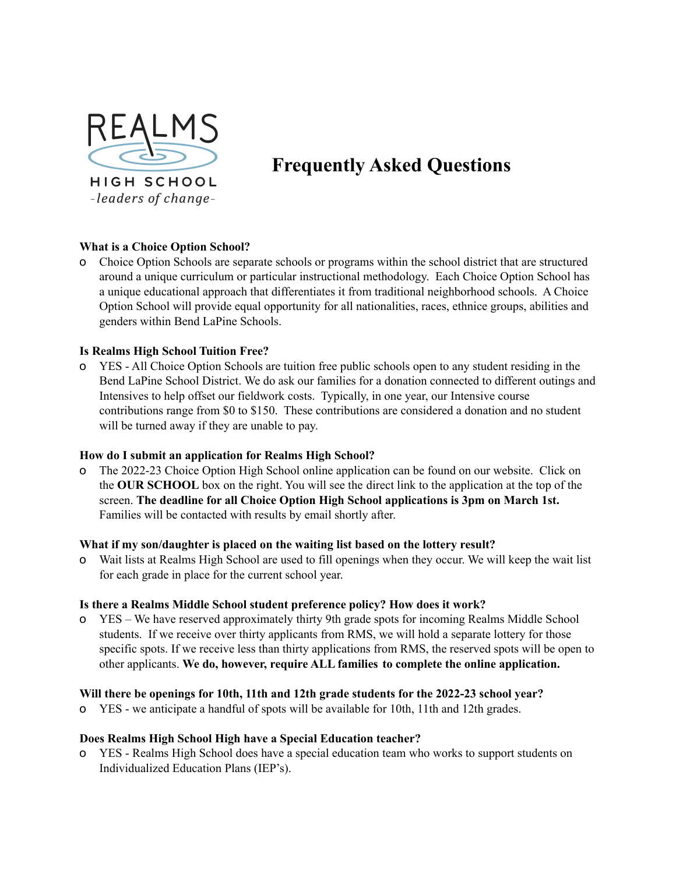

# **Frequently Asked Questions**

# **What is a Choice Option School?**

o Choice Option Schools are separate schools or programs within the school district that are structured around a unique curriculum or particular instructional methodology. Each Choice Option School has a unique educational approach that differentiates it from traditional neighborhood schools. A Choice Option School will provide equal opportunity for all nationalities, races, ethnice groups, abilities and genders within Bend LaPine Schools.

# **Is Realms High School Tuition Free?**

o YES - All Choice Option Schools are tuition free public schools open to any student residing in the Bend LaPine School District. We do ask our families for a donation connected to different outings and Intensives to help offset our fieldwork costs. Typically, in one year, our Intensive course contributions range from \$0 to \$150. These contributions are considered a donation and no student will be turned away if they are unable to pay.

## **How do I submit an application for Realms High School?**

o The 2022-23 Choice Option High School online application can be found on our website. Click on the **OUR SCHOOL** box on the right. You will see the direct link to the application at the top of the screen. **The deadline for all Choice Option High School applications is 3pm on March 1st.** Families will be contacted with results by email shortly after.

## **What if my son/daughter is placed on the waiting list based on the lottery result?**

o Wait lists at Realms High School are used to fill openings when they occur. We will keep the wait list for each grade in place for the current school year.

## **Is there a Realms Middle School student preference policy? How does it work?**

o YES – We have reserved approximately thirty 9th grade spots for incoming Realms Middle School students. If we receive over thirty applicants from RMS, we will hold a separate lottery for those specific spots. If we receive less than thirty applications from RMS, the reserved spots will be open to other applicants. **We do, however, require ALL families to complete the online application.**

## **Will there be openings for 10th, 11th and 12th grade students for the 2022-23 school year?**

o YES - we anticipate a handful of spots will be available for 10th, 11th and 12th grades.

## **Does Realms High School High have a Special Education teacher?**

o YES - Realms High School does have a special education team who works to support students on Individualized Education Plans (IEP's).